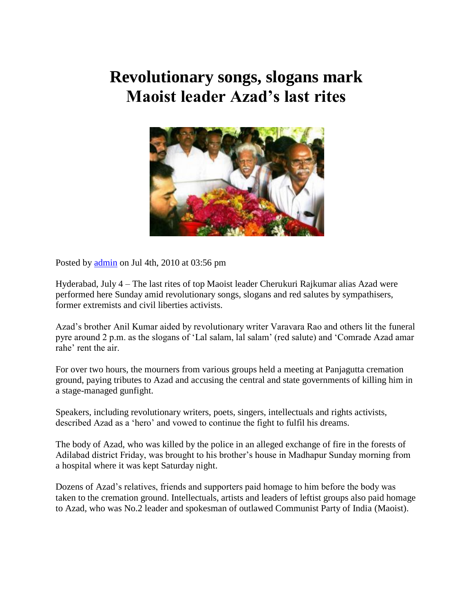## **Revolutionary songs, slogans mark Maoist leader Azad's last rites**



Posted by [admin](http://news-views.in/author/admin/) on Jul 4th, 2010 at 03:56 pm

Hyderabad, July 4 – The last rites of top Maoist leader Cherukuri Rajkumar alias Azad were performed here Sunday amid revolutionary songs, slogans and red salutes by sympathisers, former extremists and civil liberties activists.

Azad's brother Anil Kumar aided by revolutionary writer Varavara Rao and others lit the funeral pyre around 2 p.m. as the slogans of 'Lal salam, lal salam' (red salute) and 'Comrade Azad amar rahe' rent the air.

For over two hours, the mourners from various groups held a meeting at Panjagutta cremation ground, paying tributes to Azad and accusing the central and state governments of killing him in a stage-managed gunfight.

Speakers, including revolutionary writers, poets, singers, intellectuals and rights activists, described Azad as a 'hero' and vowed to continue the fight to fulfil his dreams.

The body of Azad, who was killed by the police in an alleged exchange of fire in the forests of Adilabad district Friday, was brought to his brother's house in Madhapur Sunday morning from a hospital where it was kept Saturday night.

Dozens of Azad's relatives, friends and supporters paid homage to him before the body was taken to the cremation ground. Intellectuals, artists and leaders of leftist groups also paid homage to Azad, who was No.2 leader and spokesman of outlawed Communist Party of India (Maoist).